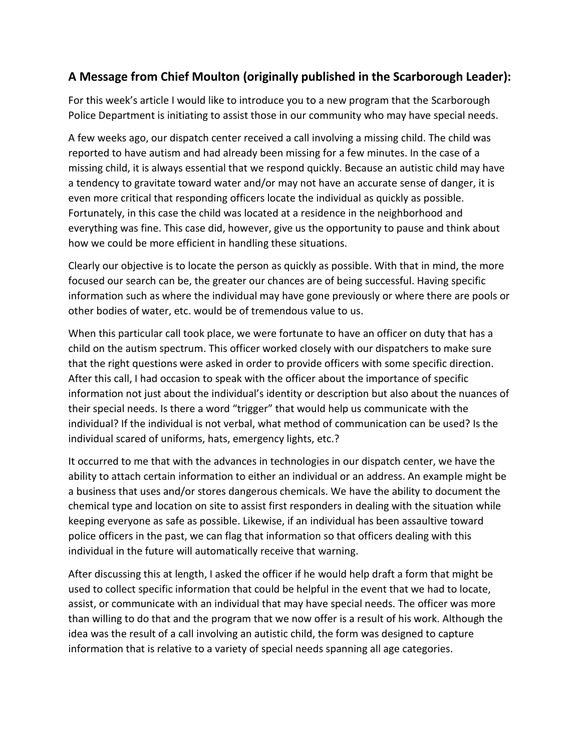#### A Message from Chief Moulton (originally published in the Scarborough Leader):

For this week's article I would like to introduce you to a new program that the Scarborough Police Department is initiating to assist those in our community who may have special needs.

A few weeks ago, our dispatch center received a call involving a missing child. The child was reported to have autism and had already been missing for a few minutes. In the case of a missing child, it is always essential that we respond quickly. Because an autistic child may have a tendency to gravitate toward water and/or may not have an accurate sense of danger, it is even more critical that responding officers locate the individual as quickly as possible. Fortunately, in this case the child was located at a residence in the neighborhood and everything was fine. This case did, however, give us the opportunity to pause and think about how we could be more efficient in handling these situations.

Clearly our objective is to locate the person as quickly as possible. With that in mind, the more focused our search can be, the greater our chances are of being successful. Having specific information such as where the individual may have gone previously or where there are pools or other bodies of water, etc. would be of tremendous value to us.

When this particular call took place, we were fortunate to have an officer on duty that has a child on the autism spectrum. This officer worked closely with our dispatchers to make sure that the right questions were asked in order to provide officers with some specific direction. After this call, I had occasion to speak with the officer about the importance of specific information not just about the individual's identity or description but also about the nuances of their special needs. Is there a word "trigger" that would help us communicate with the individual? If the individual is not verbal, what method of communication can be used? Is the individual scared of uniforms, hats, emergency lights, etc.?

It occurred to me that with the advances in technologies in our dispatch center, we have the ability to attach certain information to either an individual or an address. An example might be a business that uses and/or stores dangerous chemicals. We have the ability to document the chemical type and location on site to assist first responders in dealing with the situation while keeping everyone as safe as possible. Likewise, if an individual has been assaultive toward police officers in the past, we can flag that information so that officers dealing with this individual in the future will automatically receive that warning.

After discussing this at length, I asked the officer if he would help draft a form that might be used to collect specific information that could be helpful in the event that we had to locate, assist, or communicate with an individual that may have special needs. The officer was more than willing to do that and the program that we now offer is a result of his work. Although the idea was the result of a call involving an autistic child, the form was designed to capture information that is relative to a variety of special needs spanning all age categories.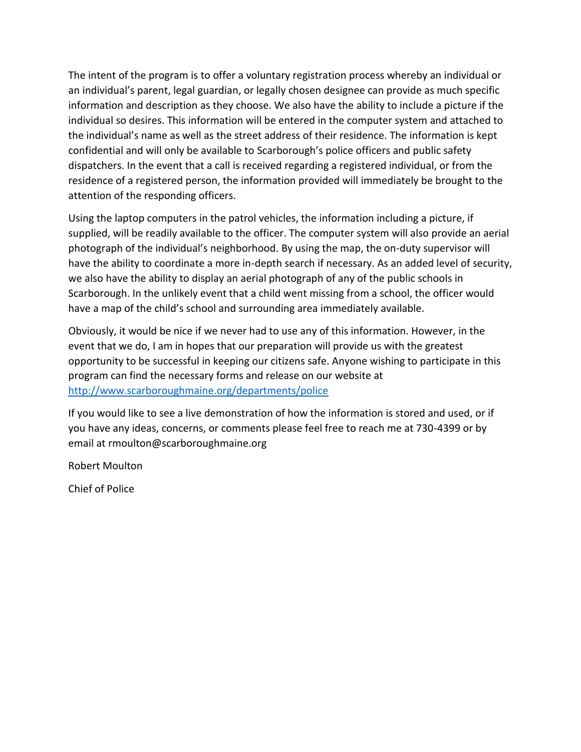The intent of the program is to offer a voluntary registration process whereby an individual or an individual's parent, legal guardian, or legally chosen designee can provide as much specific information and description as they choose. We also have the ability to include a picture if the individual so desires. This information will be entered in the computer system and attached to the individual's name as well as the street address of their residence. The information is kept confidential and will only be available to Scarborough's police officers and public safety dispatchers. In the event that a call is received regarding a registered individual, or from the residence of a registered person, the information provided will immediately be brought to the attention of the responding officers.

Using the laptop computers in the patrol vehicles, the information including a picture, if supplied, will be readily available to the officer. The computer system will also provide an aerial photograph of the individual's neighborhood. By using the map, the on-duty supervisor will have the ability to coordinate a more in-depth search if necessary. As an added level of security, we also have the ability to display an aerial photograph of any of the public schools in Scarborough. In the unlikely event that a child went missing from a school, the officer would have a map of the child's school and surrounding area immediately available.

Obviously, it would be nice if we never had to use any of this information. However, in the event that we do, I am in hopes that our preparation will provide us with the greatest opportunity to be successful in keeping our citizens safe. Anyone wishing to participate in this program can find the necessary forms and release on our website at http://www.scarboroughmaine.org/departments/police

If you would like to see a live demonstration of how the information is stored and used, or if you have any ideas, concerns, or comments please feel free to reach me at 730-4399 or by email at rmoulton@scarboroughmaine.org

**Robert Moulton** 

**Chief of Police**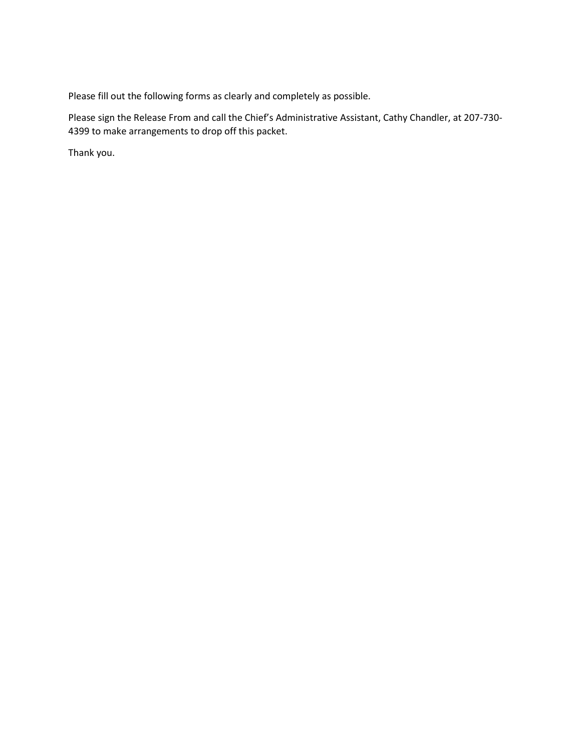Please fill out the following forms as clearly and completely as possible.

Please sign the Release From and call the Chief's Administrative Assistant, Cathy Chandler, at 207-730-4399 to make arrangements to drop off this packet.

Thank you.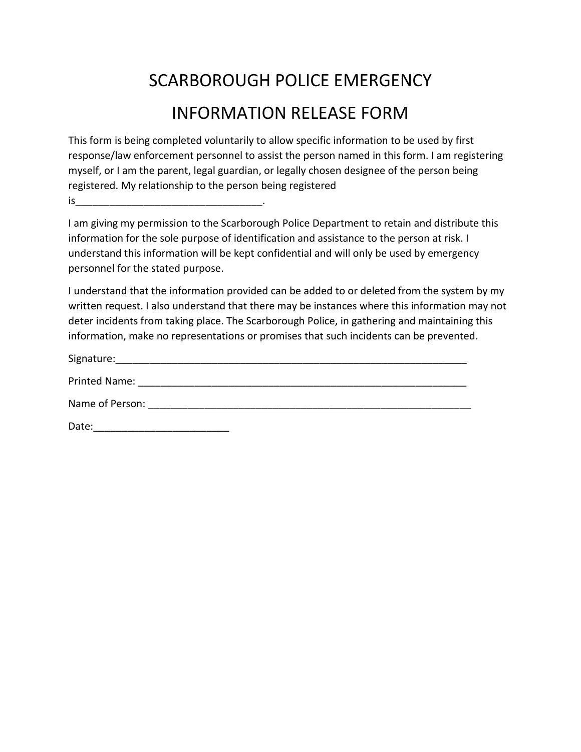# **SCARBOROUGH POLICE EMERGENCY INFORMATION RELEASE FORM**

This form is being completed voluntarily to allow specific information to be used by first response/law enforcement personnel to assist the person named in this form. I am registering myself, or I am the parent, legal guardian, or legally chosen designee of the person being registered. My relationship to the person being registered 

I am giving my permission to the Scarborough Police Department to retain and distribute this information for the sole purpose of identification and assistance to the person at risk. I understand this information will be kept confidential and will only be used by emergency personnel for the stated purpose.

I understand that the information provided can be added to or deleted from the system by my written request. I also understand that there may be instances where this information may not deter incidents from taking place. The Scarborough Police, in gathering and maintaining this information, make no representations or promises that such incidents can be prevented.

| Signature:      |  |  |
|-----------------|--|--|
| Printed Name:   |  |  |
| Name of Person: |  |  |
| Date:           |  |  |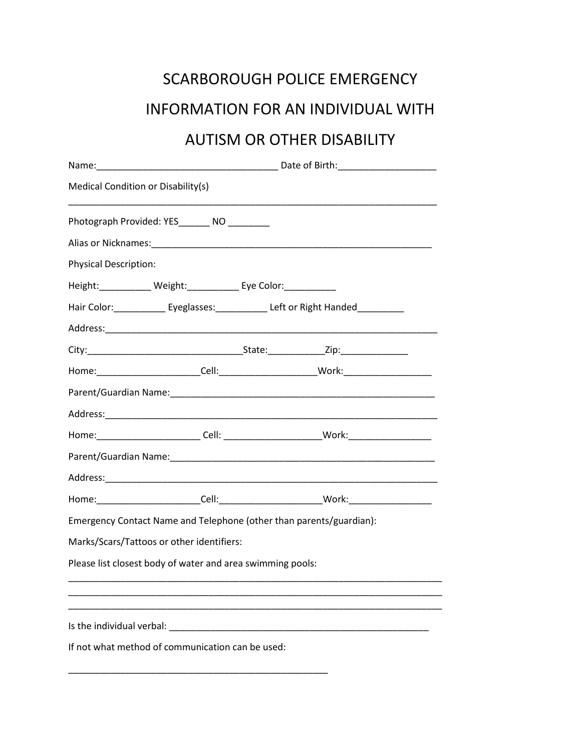## SCARBOROUGH POLICE EMERGENCY

### INFORMATION FOR AN INDIVIDUAL WITH

## **AUTISM OR OTHER DISABILITY**

| Medical Condition or Disability(s) |                                                                     |                                                                                        |                                                                                  |  |  |
|------------------------------------|---------------------------------------------------------------------|----------------------------------------------------------------------------------------|----------------------------------------------------------------------------------|--|--|
|                                    | Photograph Provided: YES________ NO _________                       |                                                                                        |                                                                                  |  |  |
|                                    |                                                                     |                                                                                        |                                                                                  |  |  |
| <b>Physical Description:</b>       |                                                                     |                                                                                        |                                                                                  |  |  |
|                                    | Height:_____________ Weight:_____________ Eye Color:_____________   |                                                                                        |                                                                                  |  |  |
|                                    |                                                                     | Hair Color: ______________ Eyeglasses: _______________ Left or Right Handed___________ |                                                                                  |  |  |
|                                    |                                                                     |                                                                                        |                                                                                  |  |  |
|                                    |                                                                     |                                                                                        |                                                                                  |  |  |
|                                    |                                                                     |                                                                                        |                                                                                  |  |  |
|                                    |                                                                     |                                                                                        |                                                                                  |  |  |
|                                    |                                                                     |                                                                                        |                                                                                  |  |  |
|                                    |                                                                     |                                                                                        | Home:_________________________Cell: ________________________Work:_______________ |  |  |
|                                    |                                                                     |                                                                                        |                                                                                  |  |  |
|                                    |                                                                     |                                                                                        |                                                                                  |  |  |
|                                    |                                                                     |                                                                                        |                                                                                  |  |  |
|                                    | Emergency Contact Name and Telephone (other than parents/guardian): |                                                                                        |                                                                                  |  |  |
|                                    | Marks/Scars/Tattoos or other identifiers:                           |                                                                                        |                                                                                  |  |  |
|                                    | Please list closest body of water and area swimming pools:          |                                                                                        |                                                                                  |  |  |
|                                    |                                                                     |                                                                                        |                                                                                  |  |  |
|                                    |                                                                     |                                                                                        |                                                                                  |  |  |
|                                    |                                                                     |                                                                                        |                                                                                  |  |  |
|                                    | If not what method of communication can be used:                    |                                                                                        |                                                                                  |  |  |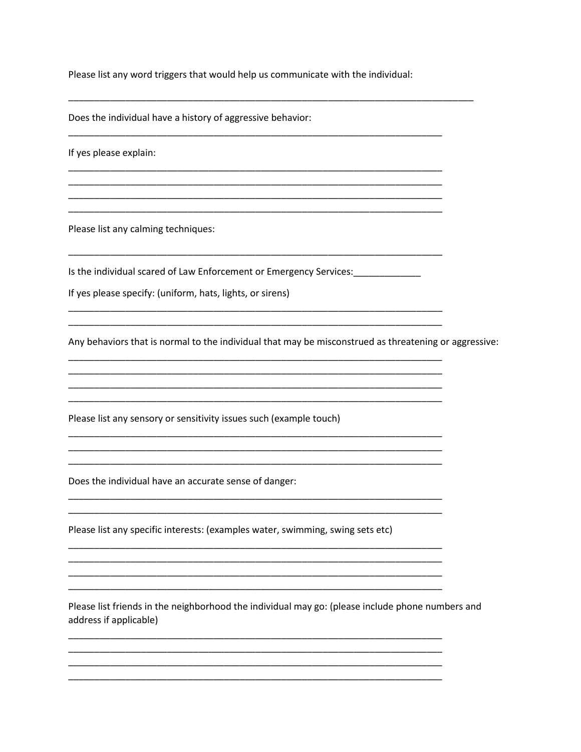Please list any word triggers that would help us communicate with the individual:

Does the individual have a history of aggressive behavior:

If yes please explain:

Please list any calming techniques:

Is the individual scared of Law Enforcement or Emergency Services: \_\_\_\_\_\_\_\_\_\_\_\_\_

If yes please specify: (uniform, hats, lights, or sirens)

Any behaviors that is normal to the individual that may be misconstrued as threatening or aggressive:

Please list any sensory or sensitivity issues such (example touch)

Does the individual have an accurate sense of danger:

Please list any specific interests: (examples water, swimming, swing sets etc)

Please list friends in the neighborhood the individual may go: (please include phone numbers and address if applicable)